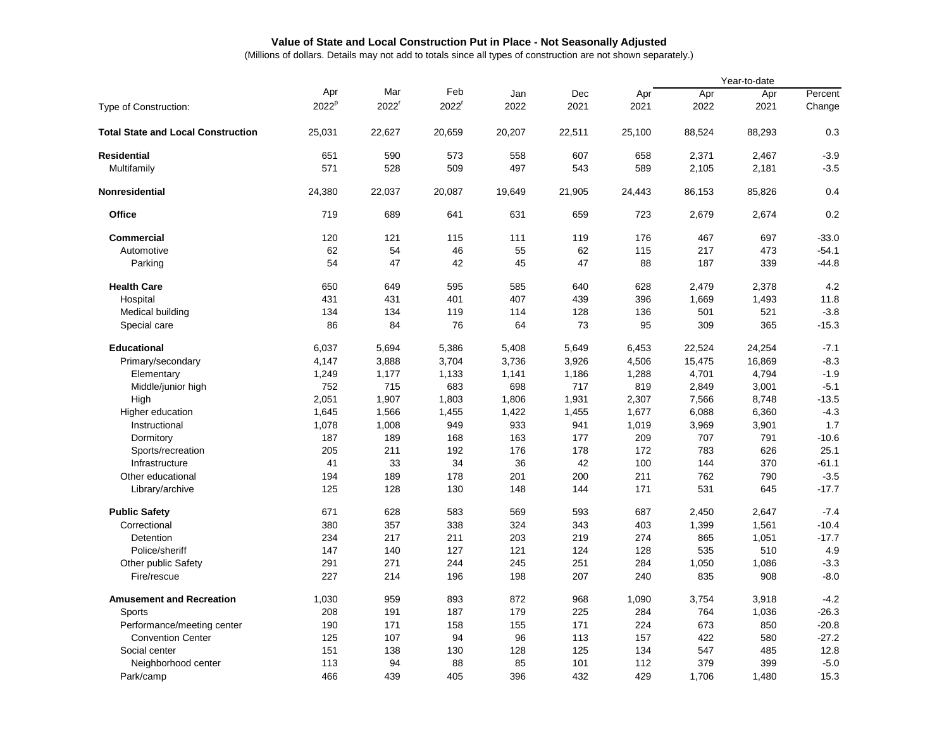## **Value of State and Local Construction Put in Place - Not Seasonally Adjusted**

(Millions of dollars. Details may not add to totals since all types of construction are not shown separately.)

|                                           |                   |          |          |        |        | Year-to-date |        |        |         |  |  |
|-------------------------------------------|-------------------|----------|----------|--------|--------|--------------|--------|--------|---------|--|--|
|                                           | Apr               | Mar      | Feb      | Jan    | Dec    | Apr          | Apr    | Apr    | Percent |  |  |
| Type of Construction:                     | 2022 <sup>p</sup> | $2022^r$ | $2022^r$ | 2022   | 2021   | 2021         | 2022   | 2021   | Change  |  |  |
| <b>Total State and Local Construction</b> | 25,031            | 22,627   | 20,659   | 20,207 | 22,511 | 25,100       | 88,524 | 88,293 | 0.3     |  |  |
| <b>Residential</b>                        | 651               | 590      | 573      | 558    | 607    | 658          | 2,371  | 2,467  | $-3.9$  |  |  |
| Multifamily                               | 571               | 528      | 509      | 497    | 543    | 589          | 2,105  | 2,181  | $-3.5$  |  |  |
| <b>Nonresidential</b>                     | 24,380            | 22,037   | 20,087   | 19,649 | 21,905 | 24,443       | 86,153 | 85,826 | 0.4     |  |  |
| <b>Office</b>                             | 719               | 689      | 641      | 631    | 659    | 723          | 2,679  | 2,674  | 0.2     |  |  |
| <b>Commercial</b>                         | 120               | 121      | 115      | 111    | 119    | 176          | 467    | 697    | $-33.0$ |  |  |
| Automotive                                | 62                | 54       | 46       | 55     | 62     | 115          | 217    | 473    | $-54.1$ |  |  |
| Parking                                   | 54                | 47       | 42       | 45     | 47     | 88           | 187    | 339    | $-44.8$ |  |  |
| <b>Health Care</b>                        | 650               | 649      | 595      | 585    | 640    | 628          | 2,479  | 2,378  | 4.2     |  |  |
| Hospital                                  | 431               | 431      | 401      | 407    | 439    | 396          | 1,669  | 1,493  | 11.8    |  |  |
| Medical building                          | 134               | 134      | 119      | 114    | 128    | 136          | 501    | 521    | $-3.8$  |  |  |
| Special care                              | 86                | 84       | 76       | 64     | 73     | 95           | 309    | 365    | $-15.3$ |  |  |
| <b>Educational</b>                        | 6,037             | 5,694    | 5,386    | 5,408  | 5,649  | 6,453        | 22,524 | 24,254 | $-7.1$  |  |  |
| Primary/secondary                         | 4,147             | 3,888    | 3,704    | 3,736  | 3,926  | 4,506        | 15,475 | 16,869 | $-8.3$  |  |  |
| Elementary                                | 1,249             | 1,177    | 1,133    | 1,141  | 1,186  | 1,288        | 4,701  | 4,794  | $-1.9$  |  |  |
| Middle/junior high                        | 752               | 715      | 683      | 698    | 717    | 819          | 2,849  | 3,001  | $-5.1$  |  |  |
| High                                      | 2,051             | 1,907    | 1,803    | 1,806  | 1,931  | 2,307        | 7,566  | 8,748  | $-13.5$ |  |  |
| Higher education                          | 1,645             | 1,566    | 1,455    | 1,422  | 1,455  | 1,677        | 6,088  | 6,360  | $-4.3$  |  |  |
| Instructional                             | 1,078             | 1,008    | 949      | 933    | 941    | 1,019        | 3,969  | 3,901  | 1.7     |  |  |
| Dormitory                                 | 187               | 189      | 168      | 163    | 177    | 209          | 707    | 791    | $-10.6$ |  |  |
| Sports/recreation                         | 205               | 211      | 192      | 176    | 178    | 172          | 783    | 626    | 25.1    |  |  |
| Infrastructure                            | 41                | 33       | 34       | 36     | 42     | 100          | 144    | 370    | $-61.1$ |  |  |
| Other educational                         | 194               | 189      | 178      | 201    | 200    | 211          | 762    | 790    | $-3.5$  |  |  |
| Library/archive                           | 125               | 128      | 130      | 148    | 144    | 171          | 531    | 645    | $-17.7$ |  |  |
| <b>Public Safety</b>                      | 671               | 628      | 583      | 569    | 593    | 687          | 2,450  | 2,647  | $-7.4$  |  |  |
| Correctional                              | 380               | 357      | 338      | 324    | 343    | 403          | 1,399  | 1,561  | $-10.4$ |  |  |
| Detention                                 | 234               | 217      | 211      | 203    | 219    | 274          | 865    | 1,051  | $-17.7$ |  |  |
| Police/sheriff                            | 147               | 140      | 127      | 121    | 124    | 128          | 535    | 510    | 4.9     |  |  |
| Other public Safety                       | 291               | 271      | 244      | 245    | 251    | 284          | 1,050  | 1,086  | $-3.3$  |  |  |
| Fire/rescue                               | 227               | 214      | 196      | 198    | 207    | 240          | 835    | 908    | $-8.0$  |  |  |
| <b>Amusement and Recreation</b>           | 1,030             | 959      | 893      | 872    | 968    | 1,090        | 3,754  | 3,918  | $-4.2$  |  |  |
| Sports                                    | 208               | 191      | 187      | 179    | 225    | 284          | 764    | 1,036  | $-26.3$ |  |  |
| Performance/meeting center                | 190               | 171      | 158      | 155    | 171    | 224          | 673    | 850    | $-20.8$ |  |  |
| <b>Convention Center</b>                  | 125               | 107      | 94       | 96     | 113    | 157          | 422    | 580    | $-27.2$ |  |  |
| Social center                             | 151               | 138      | 130      | 128    | 125    | 134          | 547    | 485    | 12.8    |  |  |
| Neighborhood center                       | 113               | 94       | 88       | 85     | 101    | 112          | 379    | 399    | $-5.0$  |  |  |
| Park/camp                                 | 466               | 439      | 405      | 396    | 432    | 429          | 1,706  | 1,480  | 15.3    |  |  |